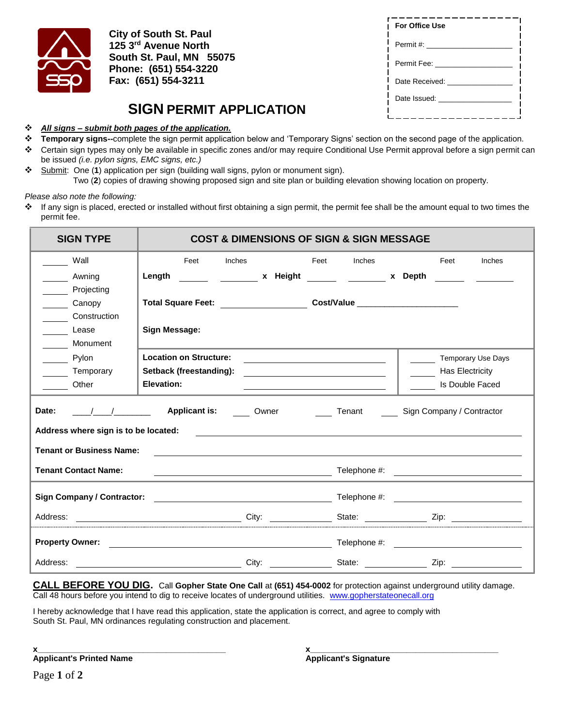

**City of South St. Paul 125 3rd Avenue North South St. Paul, MN 55075 Phone: (651) 554-3220 Fax: (651) 554-3211**

## **SIGN PERMIT APPLICATION**

*All signs – submit both pages of the application.*

| <b>For Office Use</b> |  |
|-----------------------|--|
| Permit #: __________  |  |
| Permit Fee:           |  |
| Date Received:        |  |
| Date Issued:          |  |
|                       |  |

- **Temporary signs--**complete the sign permit application below and 'Temporary Signs' section on the second page of the application.
- Certain sign types may only be available in specific zones and/or may require Conditional Use Permit approval before a sign permit can be issued *(i.e. pylon signs, EMC signs, etc.)*
- Submit: One (**1**) application per sign (building wall signs, pylon or monument sign). Two (**2**) copies of drawing showing proposed sign and site plan or building elevation showing location on property.

*Please also note the following:*

 If any sign is placed, erected or installed without first obtaining a sign permit, the permit fee shall be the amount equal to two times the permit fee.

| <b>SIGN TYPE</b><br><b>COST &amp; DIMENSIONS OF SIGN &amp; SIGN MESSAGE</b> |                               |  |                                                                                                                         |                                                                                                                                                                                                                                      |  |  |
|-----------------------------------------------------------------------------|-------------------------------|--|-------------------------------------------------------------------------------------------------------------------------|--------------------------------------------------------------------------------------------------------------------------------------------------------------------------------------------------------------------------------------|--|--|
| Wall                                                                        | Feet<br>Inches                |  | Feet<br><b>Inches</b>                                                                                                   | Feet<br>Inches                                                                                                                                                                                                                       |  |  |
| Awning                                                                      | Length                        |  | <b>Example 12 Septiment State 12 Septiment State 12 Septiment State 12 Septiment State 12 Septiment State 12 Septim</b> |                                                                                                                                                                                                                                      |  |  |
| Projecting                                                                  |                               |  |                                                                                                                         |                                                                                                                                                                                                                                      |  |  |
| Canopy                                                                      |                               |  |                                                                                                                         |                                                                                                                                                                                                                                      |  |  |
| Construction                                                                |                               |  |                                                                                                                         |                                                                                                                                                                                                                                      |  |  |
| Lease                                                                       | <b>Sign Message:</b>          |  |                                                                                                                         |                                                                                                                                                                                                                                      |  |  |
| Monument                                                                    |                               |  |                                                                                                                         |                                                                                                                                                                                                                                      |  |  |
| Pylon                                                                       | <b>Location on Structure:</b> |  | the control of the control of the control of the control of the control of the control of                               | Temporary Use Days                                                                                                                                                                                                                   |  |  |
| Temporary                                                                   | Setback (freestanding):       |  |                                                                                                                         | Has Electricity                                                                                                                                                                                                                      |  |  |
| <b>Other</b>                                                                | Elevation:                    |  |                                                                                                                         | Is Double Faced                                                                                                                                                                                                                      |  |  |
| Date:<br>Address where sign is to be located:                               | <b>Applicant is:</b> Owner    |  | Tenant                                                                                                                  | Sign Company / Contractor<br><u> 1980 - Andrea Stadt Britain, amerikansk fotograf i den stadt fotograf i den stadt fotograf i den stadt fotogr</u>                                                                                   |  |  |
| <b>Tenant or Business Name:</b>                                             |                               |  |                                                                                                                         | ,我们也不会有什么。""我们的人,我们也不会有什么?""我们的人,我们也不会有什么?""我们的人,我们也不会有什么?""我们的人,我们也不会有什么?""我们的人                                                                                                                                                     |  |  |
| <b>Tenant Contact Name:</b>                                                 |                               |  |                                                                                                                         | <b>Example 2018</b> Telephone #:                                                                                                                                                                                                     |  |  |
| <b>Sign Company / Contractor:</b>                                           |                               |  |                                                                                                                         | Telephone #: <u>contract and the set of the set of the set of the set of the set of the set of the set of the set of the set of the set of the set of the set of the set of the set of the set of the set of the set of the set </u> |  |  |
|                                                                             |                               |  |                                                                                                                         | Address: Zip: Zip: City: City: State: Zip:                                                                                                                                                                                           |  |  |
| <b>Property Owner:</b>                                                      |                               |  |                                                                                                                         |                                                                                                                                                                                                                                      |  |  |
|                                                                             |                               |  |                                                                                                                         |                                                                                                                                                                                                                                      |  |  |

**CALL BEFORE YOU DIG.** Call **Gopher State One Call** at **(651) 454-0002** for protection against underground utility damage. Call 48 hours before you intend to dig to receive locates of underground utilities. [www.gopherstateonecall.org](http://www.gopherstateonecall.org/)

I hereby acknowledge that I have read this application, state the application is correct, and agree to comply with South St. Paul, MN ordinances regulating construction and placement.

**Applicant's Printed Name Applicant's Signature** 

**x\_\_\_\_\_\_\_\_\_\_\_\_\_\_\_\_\_\_\_\_\_\_\_\_\_\_\_\_\_\_\_\_\_\_\_\_\_\_\_\_\_ x\_\_\_\_\_\_\_\_\_\_\_\_\_\_\_\_\_\_\_\_\_\_\_\_\_\_\_\_\_\_\_\_\_\_\_\_\_\_\_\_\_**

Page **1** of **2**